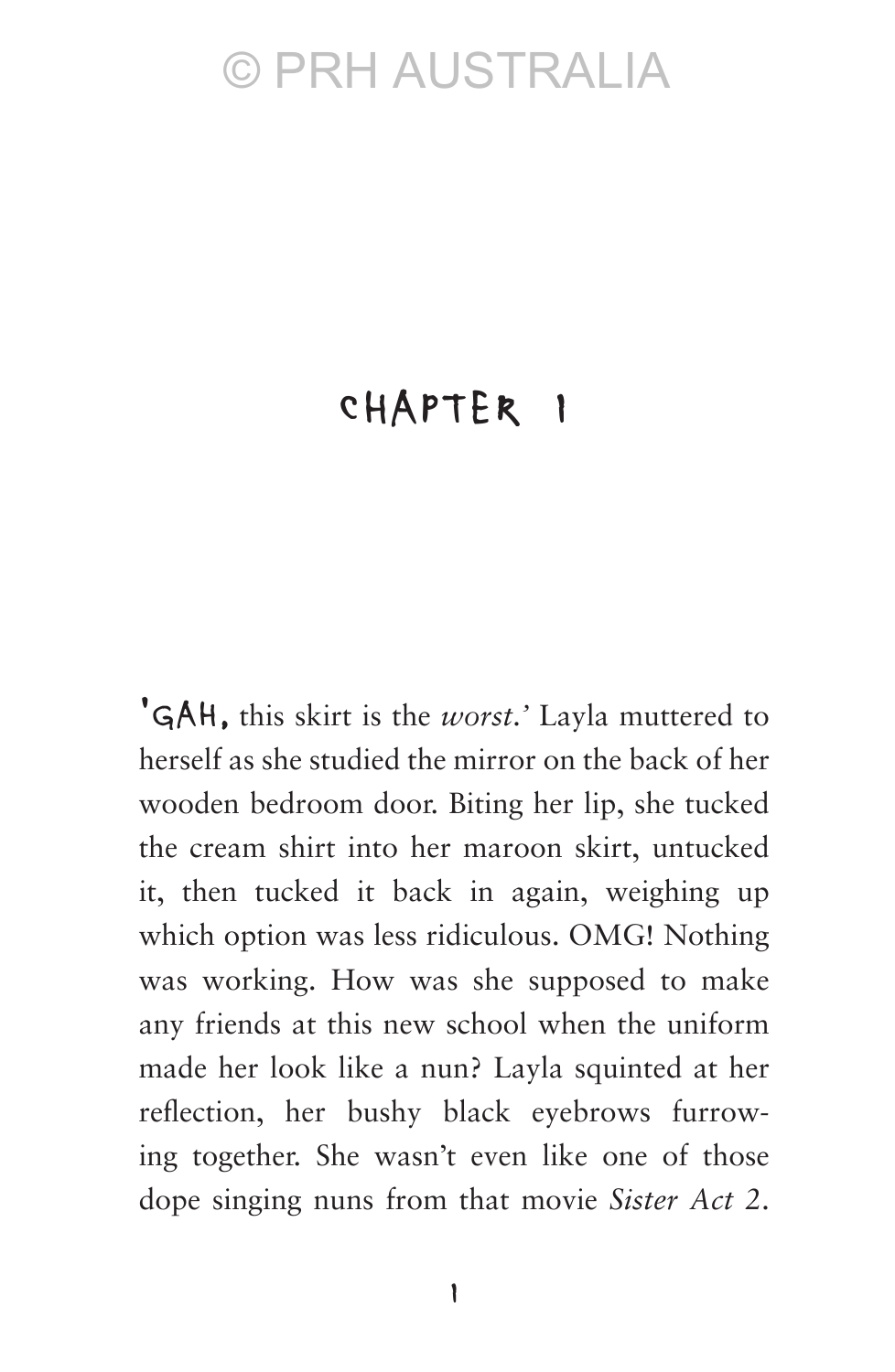#### Chapter 1

'Gah, this skirt is the *worst*.*'* Layla muttered to herself as she studied the mirror on the back of her wooden bedroom door. Biting her lip, she tucked the cream shirt into her maroon skirt, untucked it, then tucked it back in again, weighing up which option was less ridiculous. OMG! Nothing was working. How was she supposed to make any friends at this new school when the uniform made her look like a nun? Layla squinted at her reflection, her bushy black eyebrows furrowing together. She wasn't even like one of those dope singing nuns from that movie *Sister Act 2*.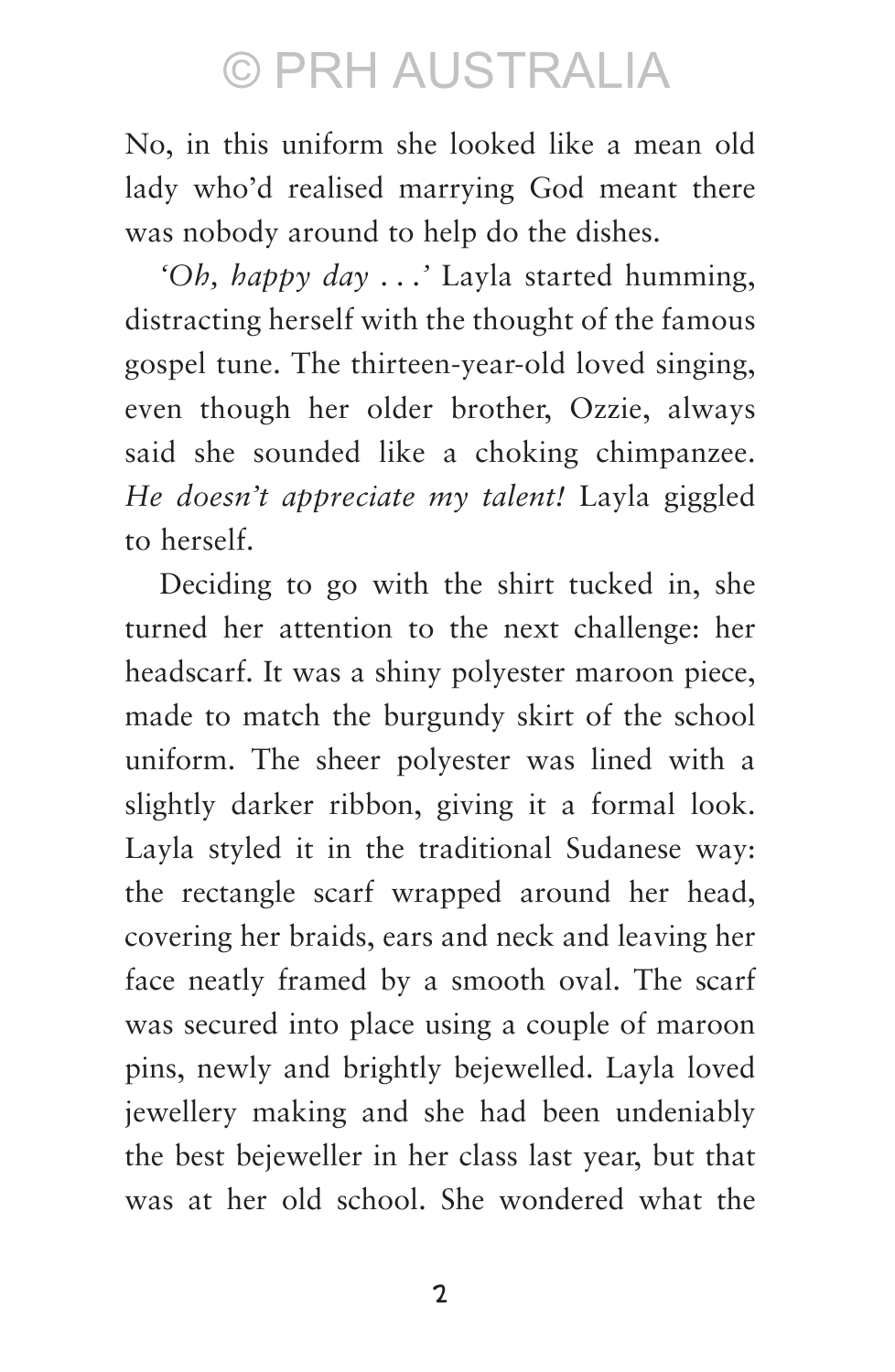No, in this uniform she looked like a mean old lady who'd realised marrying God meant there was nobody around to help do the dishes.

*'Oh, happy day . . .'* Layla started humming, distracting herself with the thought of the famous gospel tune. The thirteen-year-old loved singing, even though her older brother, Ozzie, always said she sounded like a choking chimpanzee. *He doesn't appreciate my talent!* Layla giggled to herself.

Deciding to go with the shirt tucked in, she turned her attention to the next challenge: her headscarf. It was a shiny polyester maroon piece, made to match the burgundy skirt of the school uniform. The sheer polyester was lined with a slightly darker ribbon, giving it a formal look. Layla styled it in the traditional Sudanese way: the rectangle scarf wrapped around her head, covering her braids, ears and neck and leaving her face neatly framed by a smooth oval. The scarf was secured into place using a couple of maroon pins, newly and brightly bejewelled. Layla loved jewellery making and she had been undeniably the best bejeweller in her class last year, but that was at her old school. She wondered what the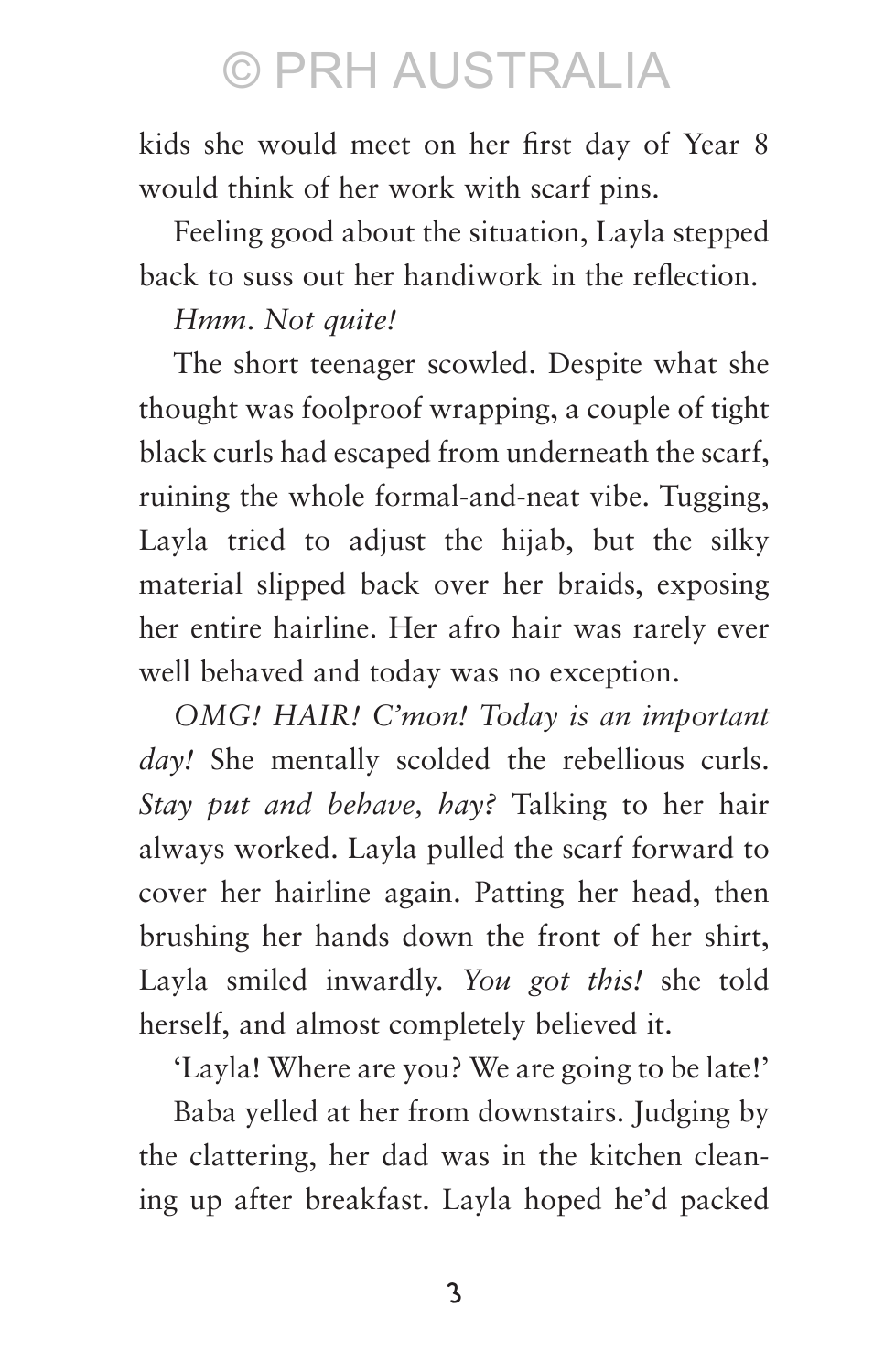kids she would meet on her first day of Year 8 would think of her work with scarf pins.

Feeling good about the situation, Layla stepped back to suss out her handiwork in the reflection.

#### *Hmm*. *Not quite!*

The short teenager scowled. Despite what she thought was foolproof wrapping, a couple of tight black curls had escaped from underneath the scarf, ruining the whole formal-and-neat vibe. Tugging, Layla tried to adjust the hijab, but the silky material slipped back over her braids, exposing her entire hairline. Her afro hair was rarely ever well behaved and today was no exception.

*OMG! HAIR! C'mon! Today is an important day!* She mentally scolded the rebellious curls. *Stay put and behave, hay?* Talking to her hair always worked. Layla pulled the scarf forward to cover her hairline again. Patting her head, then brushing her hands down the front of her shirt, Layla smiled inwardly. *You got this!* she told herself, and almost completely believed it.

'Layla! Where are you? We are going to be late!'

Baba yelled at her from downstairs. Judging by the clattering, her dad was in the kitchen cleaning up after breakfast. Layla hoped he'd packed